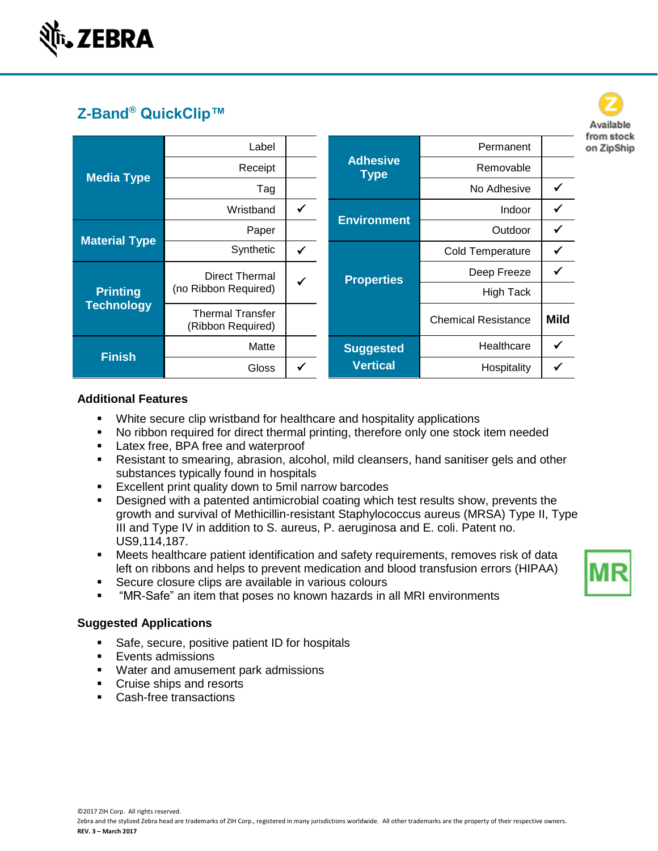

# **Z-Band® QuickClip™**

|                                      | Label                                        |              |                                | Permanent                  |             |
|--------------------------------------|----------------------------------------------|--------------|--------------------------------|----------------------------|-------------|
| <b>Media Type</b>                    | Receipt                                      |              | <b>Adhesive</b><br><b>Type</b> | Removable                  |             |
|                                      | Tag                                          |              |                                | No Adhesive                |             |
|                                      | Wristband                                    |              | <b>Environment</b>             | Indoor                     |             |
| <b>Material Type</b>                 | Paper                                        |              |                                | Outdoor                    | ✔           |
|                                      | Synthetic                                    | ✓            |                                | <b>Cold Temperature</b>    |             |
| <b>Printing</b><br><b>Technology</b> | <b>Direct Thermal</b>                        | $\checkmark$ | <b>Properties</b>              | Deep Freeze                |             |
|                                      | (no Ribbon Required)                         |              |                                | <b>High Tack</b>           |             |
|                                      | <b>Thermal Transfer</b><br>(Ribbon Required) |              |                                | <b>Chemical Resistance</b> | <b>Mild</b> |
| <b>Finish</b>                        | Matte                                        |              | <b>Suggested</b>               | Healthcare                 |             |
|                                      | Gloss                                        |              | <b>Vertical</b>                | Hospitality                |             |

### **Additional Features**

- White secure clip wristband for healthcare and hospitality applications
- No ribbon required for direct thermal printing, therefore only one stock item needed
- **EXECO LATE:** Latex free, BPA free and waterproof
- Resistant to smearing, abrasion, alcohol, mild cleansers, hand sanitiser gels and other substances typically found in hospitals
- Excellent print quality down to 5mil narrow barcodes
- Designed with a patented antimicrobial coating which test results show, prevents the growth and survival of Methicillin-resistant Staphylococcus aureus (MRSA) Type II, Type III and Type IV in addition to S. aureus, P. aeruginosa and E. coli. Patent no. US9,114,187.
- **■** Meets healthcare patient identification and safety requirements, removes risk of data left on ribbons and helps to prevent medication and blood transfusion errors (HIPAA)
- Secure closure clips are available in various colours
- "MR-Safe" an item that poses no known hazards in all MRI environments

#### **Suggested Applications**

- Safe, secure, positive patient ID for hospitals
- Events admissions
- Water and amusement park admissions
- Cruise ships and resorts
- Cash-free transactions





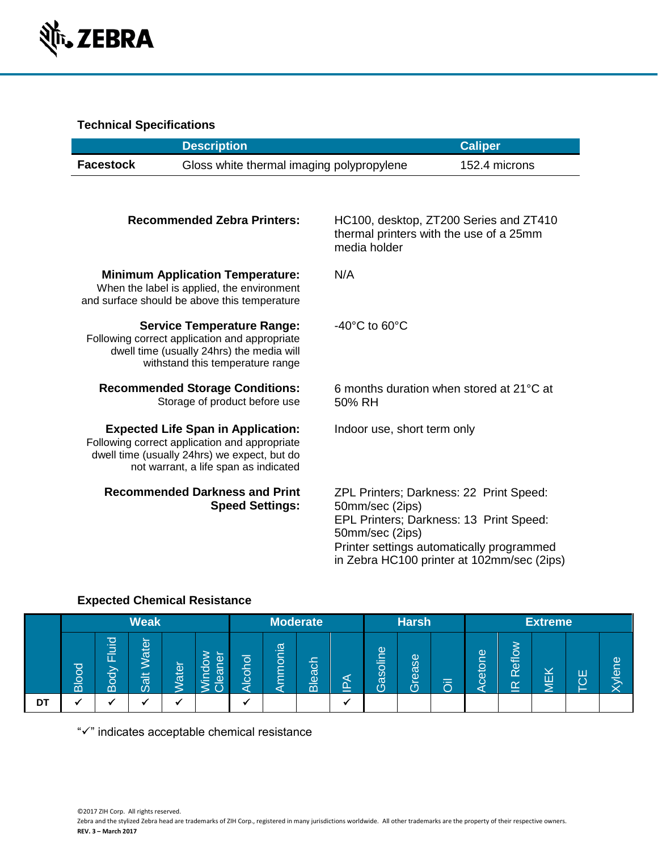

# **Technical Specifications**

|                  | <b>Description</b>                                                                                                                                                                  |                                    | <b>Caliper</b>                                                                                                                                                                |  |  |  |  |
|------------------|-------------------------------------------------------------------------------------------------------------------------------------------------------------------------------------|------------------------------------|-------------------------------------------------------------------------------------------------------------------------------------------------------------------------------|--|--|--|--|
| <b>Facestock</b> | Gloss white thermal imaging polypropylene                                                                                                                                           |                                    | 152.4 microns                                                                                                                                                                 |  |  |  |  |
|                  | <b>Recommended Zebra Printers:</b>                                                                                                                                                  | media holder                       | HC100, desktop, ZT200 Series and ZT410<br>thermal printers with the use of a 25mm                                                                                             |  |  |  |  |
|                  | <b>Minimum Application Temperature:</b><br>When the label is applied, the environment<br>and surface should be above this temperature                                               | N/A                                |                                                                                                                                                                               |  |  |  |  |
|                  | <b>Service Temperature Range:</b><br>Following correct application and appropriate<br>dwell time (usually 24hrs) the media will<br>withstand this temperature range                 | $-40^{\circ}$ C to 60 $^{\circ}$ C |                                                                                                                                                                               |  |  |  |  |
|                  | <b>Recommended Storage Conditions:</b><br>Storage of product before use                                                                                                             | 50% RH                             | 6 months duration when stored at 21°C at                                                                                                                                      |  |  |  |  |
|                  | <b>Expected Life Span in Application:</b><br>Following correct application and appropriate<br>dwell time (usually 24hrs) we expect, but do<br>not warrant, a life span as indicated | Indoor use, short term only        |                                                                                                                                                                               |  |  |  |  |
|                  | <b>Recommended Darkness and Print</b><br><b>Speed Settings:</b>                                                                                                                     | 50mm/sec (2ips)<br>50mm/sec (2ips) | ZPL Printers; Darkness: 22 Print Speed:<br>EPL Printers; Darkness: 13 Print Speed:<br>Printer settings automatically programmed<br>in Zebra HC100 printer at 102mm/sec (2ips) |  |  |  |  |

# **Expected Chemical Resistance**

|    | <b>Weak</b>  |                                                                  |                   | <b>Moderate</b> |                                                                    |                                         | <b>Harsh</b>                                           |                                             | <b>Extreme</b>                     |                                             |                |             |                                  |                      |                                               |        |                                                                    |
|----|--------------|------------------------------------------------------------------|-------------------|-----------------|--------------------------------------------------------------------|-----------------------------------------|--------------------------------------------------------|---------------------------------------------|------------------------------------|---------------------------------------------|----------------|-------------|----------------------------------|----------------------|-----------------------------------------------|--------|--------------------------------------------------------------------|
|    | <b>Blood</b> | 흐<br>$\overline{\phantom{a}}$<br>-<br>—<br>ш<br><u>doo</u><br>മ് | ater<br>土<br>င္ဟာ | ter<br>ັດວ      | $\sim$<br>Φ<br>obi<br>-<br>ౚఀ<br>$\mathbf{\underline{\Phi}}$<br>.≐ | $\overline{Q}$<br><u>ᅩ</u><br><u>co</u> | ൯<br>$-$<br>-<br>~<br>$\circ$<br>-<br>−<br>−<br>_<br>- | -<br>⋍<br>O<br>ā<br>Φ<br>$\frac{1}{2}$<br>ന | ◅<br>൨<br>$\overline{\phantom{0}}$ | $\overline{\mathsf{p}}$<br>.≔<br>asoli<br>ෆ | Φ<br>reas<br>ෆ | $\sim$<br>D | $\overline{\mathsf{P}}$<br>cetor | eflo<br>œ<br>≃<br>-- | $\overline{\underline{\mathsf{x}}}$<br>빋<br>_ | ш<br>ပ | $\overline{\mathsf{P}}$<br>$\sim$<br>$\mathbf{\underline{\omega}}$ |
| DT |              |                                                                  |                   |                 |                                                                    |                                         |                                                        |                                             |                                    |                                             |                |             |                                  |                      |                                               |        |                                                                    |

"✓" indicates acceptable chemical resistance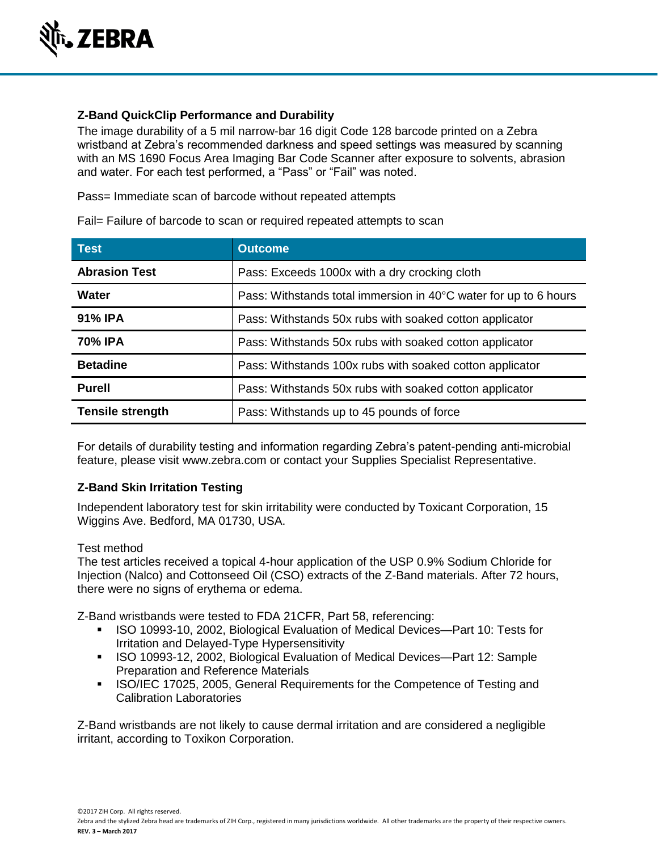

## **Z-Band QuickClip Performance and Durability**

The image durability of a 5 mil narrow-bar 16 digit Code 128 barcode printed on a Zebra wristband at Zebra's recommended darkness and speed settings was measured by scanning with an MS 1690 Focus Area Imaging Bar Code Scanner after exposure to solvents, abrasion and water. For each test performed, a "Pass" or "Fail" was noted.

Pass= Immediate scan of barcode without repeated attempts

| <b>Test</b>             | <b>Outcome</b>                                                   |
|-------------------------|------------------------------------------------------------------|
| <b>Abrasion Test</b>    | Pass: Exceeds 1000x with a dry crocking cloth                    |
| Water                   | Pass: Withstands total immersion in 40°C water for up to 6 hours |
| 91% IPA                 | Pass: Withstands 50x rubs with soaked cotton applicator          |
| 70% IPA                 | Pass: Withstands 50x rubs with soaked cotton applicator          |
| <b>Betadine</b>         | Pass: Withstands 100x rubs with soaked cotton applicator         |
| <b>Purell</b>           | Pass: Withstands 50x rubs with soaked cotton applicator          |
| <b>Tensile strength</b> | Pass: Withstands up to 45 pounds of force                        |

Fail= Failure of barcode to scan or required repeated attempts to scan

For details of durability testing and information regarding Zebra's patent-pending anti-microbial feature, please visit www.zebra.com or contact your Supplies Specialist Representative.

### **Z-Band Skin Irritation Testing**

Independent laboratory test for skin irritability were conducted by Toxicant Corporation, 15 Wiggins Ave. Bedford, MA 01730, USA.

#### Test method

The test articles received a topical 4-hour application of the USP 0.9% Sodium Chloride for Injection (Nalco) and Cottonseed Oil (CSO) extracts of the Z-Band materials. After 72 hours, there were no signs of erythema or edema.

Z-Band wristbands were tested to FDA 21CFR, Part 58, referencing:

- ISO 10993-10, 2002, Biological Evaluation of Medical Devices—Part 10: Tests for Irritation and Delayed-Type Hypersensitivity
- ISO 10993-12, 2002, Biological Evaluation of Medical Devices—Part 12: Sample Preparation and Reference Materials
- **ISO/IEC 17025, 2005, General Requirements for the Competence of Testing and** Calibration Laboratories

Z-Band wristbands are not likely to cause dermal irritation and are considered a negligible irritant, according to Toxikon Corporation.

©2017 ZIH Corp. All rights reserved.